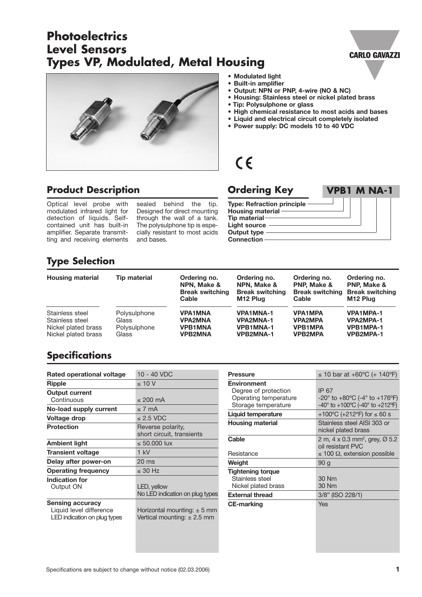# **Photoelectrics Types VP, Modulated, Metal Housing Level Sensors**





- **Modulated light**
- **Built-in amplifier**
- **Output: NPN or PNP, 4-wire (NO & NC)**
- **Housing: Stainless steel or nickel plated brass**
- **Tip: Polysulphone or glass**
- **High chemical resistance to most acids and bases**
- **Liquid and electrical circuit completely isolated**
- **Power supply: DC models 10 to 40 VDC**

# $C<sub>6</sub>$

#### **Product Description**

Optical level probe with modulated infrared light for detection of liquids. Selfcontained unit has built-in amplifier. Separate transmitting and receiving elements

sealed behind the tip. Designed for direct mounting through the wall of a tank. The polysulphone tip is especially resistant to most acids and bases.

#### **Ordering Key VPB1 M NA-1**

**Type: Refraction principle Housing material Tip material Light source Output type Connection**

## **Type Selection**

| <b>Housing material</b> | <b>Tip material</b> | Ordering no.<br>NPN. Make &<br><b>Break switching</b><br>Cable | Ordering no.<br>NPN. Make &<br><b>Break switching</b><br>M <sub>12</sub> Plug | Ordering no.<br><b>PNP. Make &amp;</b><br><b>Break switching</b><br>Cable | Ordering no.<br><b>PNP. Make &amp;</b><br><b>Break switching</b><br>M <sub>12</sub> Plug |
|-------------------------|---------------------|----------------------------------------------------------------|-------------------------------------------------------------------------------|---------------------------------------------------------------------------|------------------------------------------------------------------------------------------|
| Stainless steel         | Polysulphone        | <b>VPA1MNA</b>                                                 | <b>VPA1MNA-1</b>                                                              | <b>VPA1MPA</b>                                                            | <b>VPA1MPA-1</b>                                                                         |
| Stainless steel         | Glass               | <b>VPA2MNA</b>                                                 | <b>VPA2MNA-1</b>                                                              | <b>VPA2MPA</b>                                                            | <b>VPA2MPA-1</b>                                                                         |
| Nickel plated brass     | Polysulphone        | <b>VPB1MNA</b>                                                 | <b>VPB1MNA-1</b>                                                              | <b>VPB1MPA</b>                                                            | <b>VPB1MPA-1</b>                                                                         |
| Nickel plated brass     | Glass               | <b>VPB2MNA</b>                                                 | <b>VPB2MNA-1</b>                                                              | <b>VPB2MPA</b>                                                            | <b>VPB2MPA-1</b>                                                                         |

#### **Specifications**

| 10 - 40 VDC                                                        |
|--------------------------------------------------------------------|
| $\leq 10$ V                                                        |
|                                                                    |
| $\leq$ 200 mA                                                      |
| < 7 mA                                                             |
| $< 2.5$ VDC                                                        |
| Reverse polarity,<br>short circuit, transients                     |
| $\leq 50.000$ lux                                                  |
| $1$ kV                                                             |
| $20 \text{ ms}$                                                    |
| $\leq$ 30 Hz                                                       |
|                                                                    |
| LED, yellow<br>No LED indication on plug types                     |
|                                                                    |
| Horizontal mounting: $\pm$ 5 mm<br>Vertical mounting: $\pm 2.5$ mm |
|                                                                    |

| <b>Pressure</b>          | ≤ 10 bar at +60 °C (+ 140 °F)                                               |  |  |
|--------------------------|-----------------------------------------------------------------------------|--|--|
| <b>Environment</b>       |                                                                             |  |  |
| Degree of protection     | IP 67                                                                       |  |  |
| Operating temperature    | $-20^{\circ}$ to $+80^{\circ}$ C (-4° to $+176^{\circ}$ F)                  |  |  |
| Storage temperature      | $-40^{\circ}$ to $+100^{\circ}$ C (-40 $^{\circ}$ to $+212^{\circ}$ F)      |  |  |
| Liquid temperature       | +100°C (+212°F) for $\leq 60$ s                                             |  |  |
| <b>Housing material</b>  | Stainless steel AISI 303 or<br>nickel plated brass                          |  |  |
| Cable                    | 2 m, 4 x 0.3 mm <sup>2</sup> , grey, $\varnothing$ 5.2<br>oil resistant PVC |  |  |
| Resistance               | $\leq$ 100 $\Omega$ , extension possible                                    |  |  |
| Weight                   | 90 <sub>g</sub>                                                             |  |  |
| <b>Tightening torque</b> |                                                                             |  |  |
| Stainless steel          | 30 Nm                                                                       |  |  |
| Nickel plated brass      | 30 Nm                                                                       |  |  |
| <b>External thread</b>   | 3/8" (ISO 228/1)                                                            |  |  |
| <b>CE-marking</b>        | Yes                                                                         |  |  |
|                          |                                                                             |  |  |